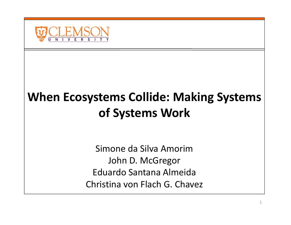

### **When Ecosystems Collide: Making Systems of Systems Work**

Simone da Silva AmorimJohn D. McGregor Eduardo Santana Almeida Christina von Flach G. Chavez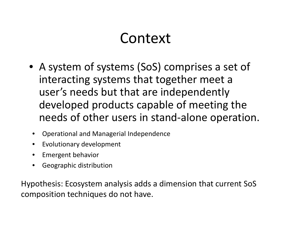## Context

- A system of systems (SoS) comprises <sup>a</sup> set of interacting systems that together meet <sup>a</sup> user's needs but that are independently developed products capable of meeting the needs of other users in stand‐alone operation.
- $\bullet$ Operational and Managerial Independence
- •Evolutionary development
- $\bullet$ Emergent behavior
- •Geographic distribution

Hypothesis: Ecosystem analysis adds <sup>a</sup> dimension that current SoS composition techniques do not have.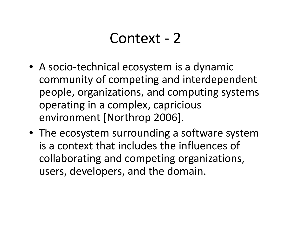#### Context ‐ 2

- A socio‐technical ecosystem is <sup>a</sup> dynamic community of competing and interdependent people, organizations, and computing systems operating in <sup>a</sup> complex, capricious environment [Northrop 2006].
- The ecosystem surrounding <sup>a</sup> software system is a context that includes the influences of collaborating and competing organizations, users, developers, and the domain.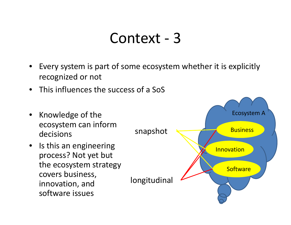#### Context ‐ 3

- • Every system is part of some ecosystem whether it is explicitly recognized or not
- •This influences the success of <sup>a</sup> SoS

decisions

 $\bullet$ 

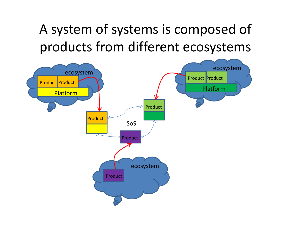A system of systems is composed of products from different ecosystems

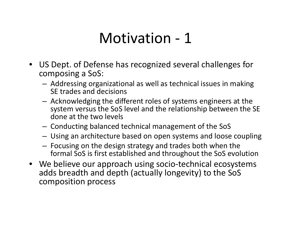# Motivation ‐ 1

- US Dept. of Defense has recognized several challenges for composing <sup>a</sup> SoS:
	- – Addressing organizational as well as technical issues in making SE trades and decisions
	- – $-$  Acknowledging the different roles of systems engineers at the system versus the SoS level and the relationship between the SE done at the two levels
	- –Conducting balanced technical management of the SoS
	- –Using an architecture based on open systems and loose coupling
	- – $-$  Focusing on the design strategy and trades both when the formal SoS is first established and throughout the SoS evolution
- We believe our approach using socio‐technical ecosystems adds breadth and depth (actually longevity) to the SoS composition process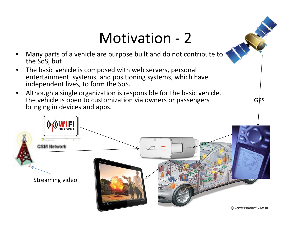## Motivation ‐ 2

GPS

- • Many parts of <sup>a</sup> vehicle are purpose built and do not contribute to the SoS, but
- • The basic vehicle is composed with web servers, personal entertainment systems, and positioning systems, which have independent lives, to form the SoS.
- • Although <sup>a</sup> single organization is responsible for the basic vehicle, the vehicle is open to customization via owners or passengers bringing in devices and apps.

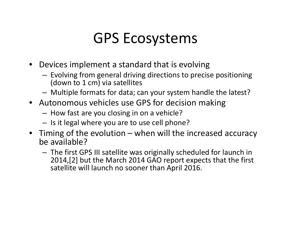# GPS Ecosystems

- Devices implement <sup>a</sup> standard that is evolving
	- – $-$  Evolving from general driving directions to precise positioning (down to 1 cm) via satellites
	- –Multiple formats for data; can your system handle the latest?
- Autonomous vehicles use GPS for decision making
	- How fast are you closing in on <sup>a</sup> vehicle?
	- – $-$  Is it legal where you are to use cell phone?
- Timing of the evolution when will the increased accuracy be available?
	- – The first GPS III satellite was originally scheduled for launch in 2014,[2] but the March 2014 GAO report expects that the first satellite will launch no sooner than April 2016.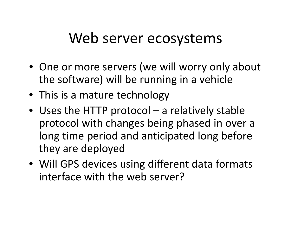### Web server ecosystems

- One or more servers (we will worry only about the software) will be running in <sup>a</sup> vehicle
- This is a mature technology
- Uses the HTTP protocol <sup>a</sup> relatively stable protocol with changes being phased in over <sup>a</sup> long time period and anticipated long before they are deployed
- Will GPS devices using different data formats interface with the web server?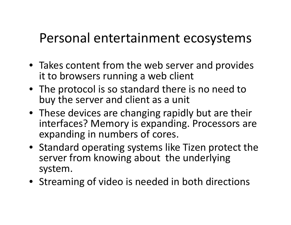#### Personal entertainment ecosystems

- Takes content from the web server and provides it to browsers running <sup>a</sup> web client
- The protocol is so standard there is no need to buy the server and client as <sup>a</sup> unit
- These devices are changing rapidly but are their interfaces? Memory is expanding. Processors are expanding in numbers of cores.
- Standard operating systems like Tizen protect the server from knowing about the underlying system.
- Streaming of video is needed in both directions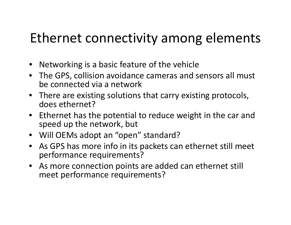### Ethernet connectivity among elements

- Networking is <sup>a</sup> basic feature of the vehicle
- The GPS, collision avoidance cameras and sensors all must be connected via <sup>a</sup> network
- There are existing solutions that carry existing protocols, does ethernet?
- Ethernet has the potential to reduce weight in the car and speed up the network, but
- Will OEMs adopt an "open" standard?
- As GPS has more info in its packets can ethernet still meet performance requirements?
- As more connection points are added can ethernet still meet performance requirements?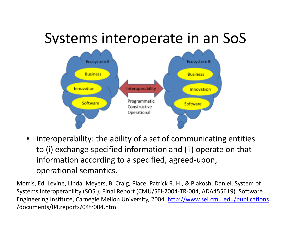# Systems interoperate in an SoS



• interoperability: the ability of <sup>a</sup> set of communicating entities to (i) exchange specified information and (ii) operate on that information according to <sup>a</sup> specified, agreed‐upon, operational semantics.

Morris, Ed, Levine, Linda, Meyers, B. Craig, Place, Patrick R. H., & Plakosh, Daniel. System of Systems Interoperability (SOSI); Final Report (CMU/SEI‐2004‐TR‐004, ADA455619). Software Engineering Institute, Carnegie Mellon University, 2004. http://www.sei.cmu.edu/publications /documents/04.reports/04tr004.html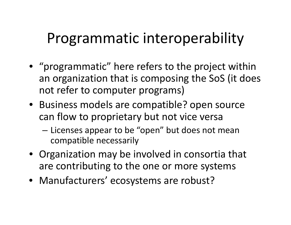# Programmatic interoperability

- "programmatic" here refers to the project within an organization that is composing the SoS (it does not refer to computer programs)
- Business models are compatible? open source can flow to proprietary but not vice versa
	- – $-$  Licenses appear to be "open" but does not mean compatible necessarily
- Organization may be involved in consortia that are contributing to the one or more systems
- Manufacturers' ecosystems are robust?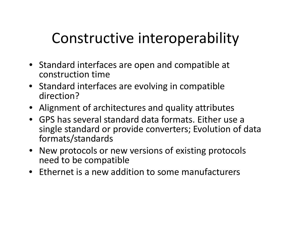# Constructive interoperability

- Standard interfaces are open and compatible at construction time
- Standard interfaces are evolving in compatible direction?
- Alignment of architectures and quality attributes
- GPS has several standard data formats. Either use <sup>a</sup> single standard or provide converters; Evolution of data formats/standards
- New protocols or new versions of existing protocols need to be compatible
- Ethernet is a new addition to some manufacturers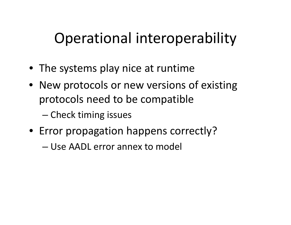# Operational interoperability

- The systems play nice at runtime
- New protocols or new versions of existing protocols need to be compatible
	- –— Check timing issues
- Error propagation happens correctly?
	- Use AADL error annex to model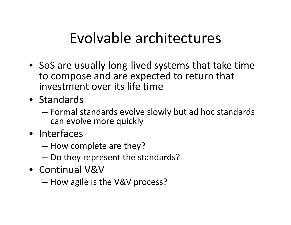# Evolvable architectures

- SoS are usually long‐lived systems that take time to compose and are expected to return that investment over its life time
- Standards
	- – Formal standards evolve slowly but ad hoc standards can evolve more quickly
- Interfaces
	- How complete are they?
	- – $-$  Do they represent the standards?
- Continual V&V
	- How agile is the V&V process?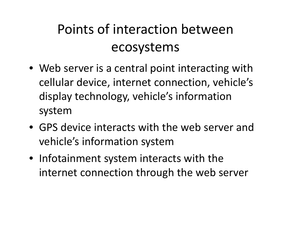# Points of interaction between ecosystems

- Web server is <sup>a</sup> central point interacting with cellular device, internet connection, vehicle's display technology, vehicle's information system
- GPS device interacts with the web server and vehicle's information system
- Infotainment system interacts with the internet connection through the web server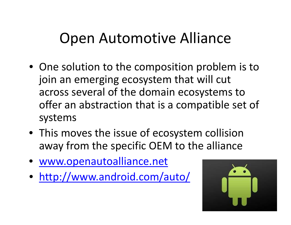## Open Automotive Alliance

- One solution to the composition problem is to join an emerging ecosystem that will cut across several of the domain ecosystems to offer an abstraction that is <sup>a</sup> compatible set of systems
- This moves the issue of ecosystem collision away from the specific OEM to the alliance
- www.openautoalliance.net
- http://www.android.com/auto/

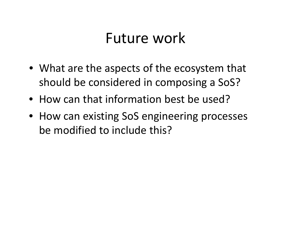### Future work

- What are the aspects of the ecosystem that should be considered in composing <sup>a</sup> SoS?
- How can that information best be used?
- How can existing SoS engineering processes be modified to include this?